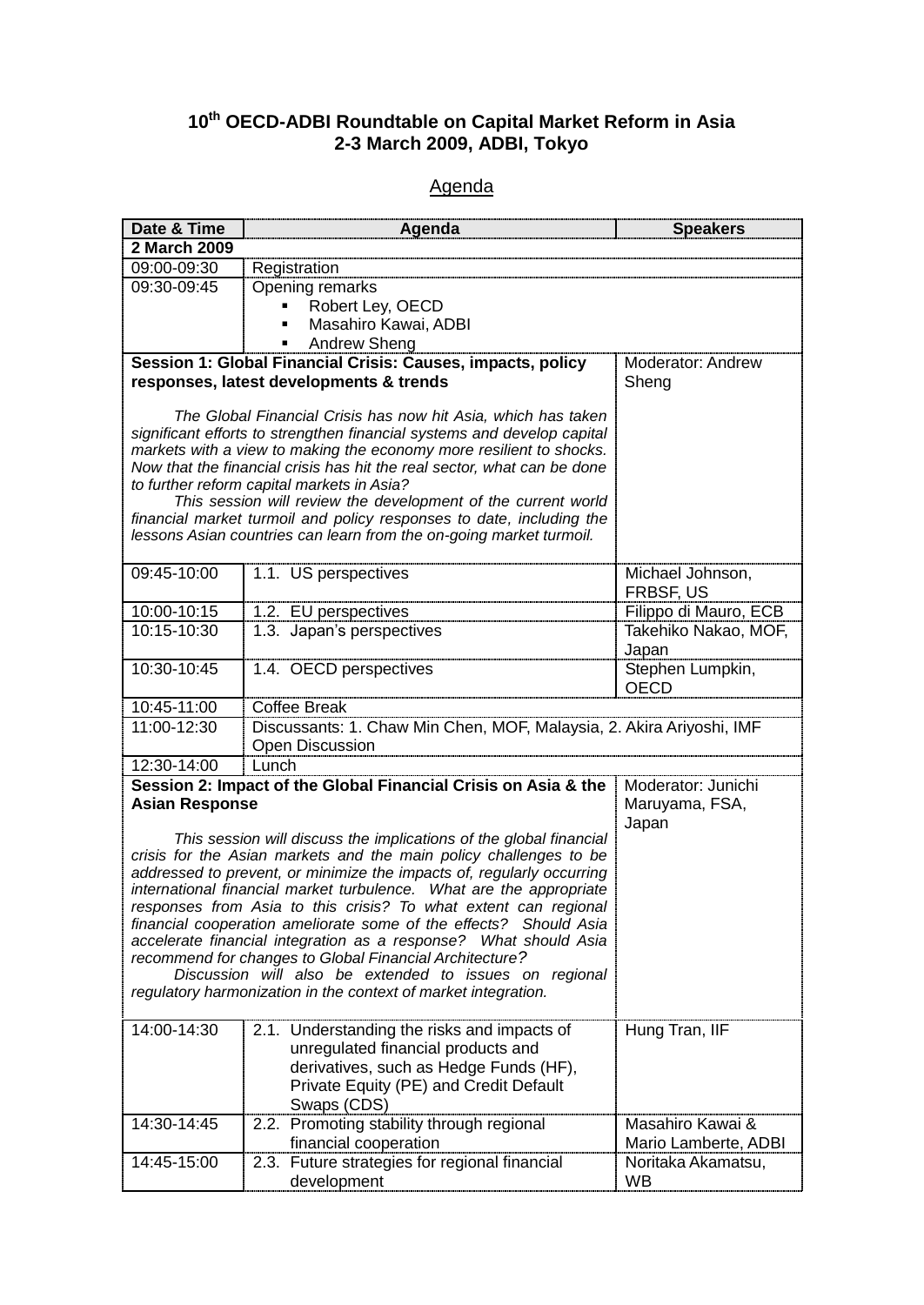## **10th OECD-ADBI Roundtable on Capital Market Reform in Asia 2-3 March 2009, ADBI, Tokyo**

## **Agenda**

| Date & Time                                                                                            | Agenda                                                                                                                                       | <b>Speakers</b>                 |  |
|--------------------------------------------------------------------------------------------------------|----------------------------------------------------------------------------------------------------------------------------------------------|---------------------------------|--|
| 2 March 2009                                                                                           |                                                                                                                                              |                                 |  |
| 09:00-09:30                                                                                            | Registration                                                                                                                                 |                                 |  |
| 09:30-09:45                                                                                            | Opening remarks                                                                                                                              |                                 |  |
|                                                                                                        | Robert Ley, OECD                                                                                                                             |                                 |  |
|                                                                                                        | Masahiro Kawai, ADBI                                                                                                                         |                                 |  |
|                                                                                                        | <b>Andrew Sheng</b>                                                                                                                          |                                 |  |
| Session 1: Global Financial Crisis: Causes, impacts, policy<br>responses, latest developments & trends |                                                                                                                                              | Moderator: Andrew<br>Sheng      |  |
|                                                                                                        |                                                                                                                                              |                                 |  |
|                                                                                                        | The Global Financial Crisis has now hit Asia, which has taken                                                                                |                                 |  |
|                                                                                                        | significant efforts to strengthen financial systems and develop capital                                                                      |                                 |  |
|                                                                                                        | markets with a view to making the economy more resilient to shocks.                                                                          |                                 |  |
|                                                                                                        | Now that the financial crisis has hit the real sector, what can be done                                                                      |                                 |  |
|                                                                                                        | to further reform capital markets in Asia?<br>This session will review the development of the current world                                  |                                 |  |
|                                                                                                        | financial market turmoil and policy responses to date, including the                                                                         |                                 |  |
|                                                                                                        | lessons Asian countries can learn from the on-going market turmoil.                                                                          |                                 |  |
|                                                                                                        |                                                                                                                                              |                                 |  |
| 09:45-10:00                                                                                            | 1.1. US perspectives                                                                                                                         | Michael Johnson,                |  |
|                                                                                                        |                                                                                                                                              | FRBSF, US                       |  |
| 10:00-10:15                                                                                            | 1.2. EU perspectives                                                                                                                         | Filippo di Mauro, ECB           |  |
| 10:15-10:30                                                                                            | 1.3. Japan's perspectives                                                                                                                    | Takehiko Nakao, MOF,            |  |
|                                                                                                        |                                                                                                                                              | Japan                           |  |
| 10:30-10:45                                                                                            | 1.4. OECD perspectives                                                                                                                       | Stephen Lumpkin,<br><b>OECD</b> |  |
| 10:45-11:00                                                                                            | Coffee Break                                                                                                                                 |                                 |  |
| 11:00-12:30                                                                                            | Discussants: 1. Chaw Min Chen, MOF, Malaysia, 2. Akira Ariyoshi, IMF                                                                         |                                 |  |
|                                                                                                        | Open Discussion                                                                                                                              |                                 |  |
| 12:30-14:00                                                                                            | Lunch                                                                                                                                        |                                 |  |
|                                                                                                        | Session 2: Impact of the Global Financial Crisis on Asia & the                                                                               | Moderator: Junichi              |  |
| <b>Asian Response</b>                                                                                  |                                                                                                                                              | Maruyama, FSA,                  |  |
|                                                                                                        |                                                                                                                                              | Japan                           |  |
|                                                                                                        | This session will discuss the implications of the global financial                                                                           |                                 |  |
|                                                                                                        | crisis for the Asian markets and the main policy challenges to be                                                                            |                                 |  |
|                                                                                                        | addressed to prevent, or minimize the impacts of, regularly occurring<br>international financial market turbulence. What are the appropriate |                                 |  |
|                                                                                                        | responses from Asia to this crisis? To what extent can regional                                                                              |                                 |  |
|                                                                                                        | financial cooperation ameliorate some of the effects? Should Asia                                                                            |                                 |  |
|                                                                                                        | accelerate financial integration as a response? What should Asia                                                                             |                                 |  |
|                                                                                                        | recommend for changes to Global Financial Architecture?                                                                                      |                                 |  |
|                                                                                                        | Discussion will also be extended to issues on regional                                                                                       |                                 |  |
| regulatory harmonization in the context of market integration.                                         |                                                                                                                                              |                                 |  |
| 14:00-14:30                                                                                            | 2.1. Understanding the risks and impacts of                                                                                                  | Hung Tran, IIF                  |  |
|                                                                                                        | unregulated financial products and                                                                                                           |                                 |  |
|                                                                                                        | derivatives, such as Hedge Funds (HF),                                                                                                       |                                 |  |
|                                                                                                        | Private Equity (PE) and Credit Default                                                                                                       |                                 |  |
|                                                                                                        | Swaps (CDS)                                                                                                                                  |                                 |  |
| 14:30-14:45                                                                                            | Promoting stability through regional<br>2.2.                                                                                                 | Masahiro Kawai &                |  |
|                                                                                                        | financial cooperation                                                                                                                        | Mario Lamberte, ADBI            |  |
| 14:45-15:00                                                                                            | Future strategies for regional financial<br>2.3.                                                                                             | Noritaka Akamatsu,              |  |
|                                                                                                        | development                                                                                                                                  | <b>WB</b>                       |  |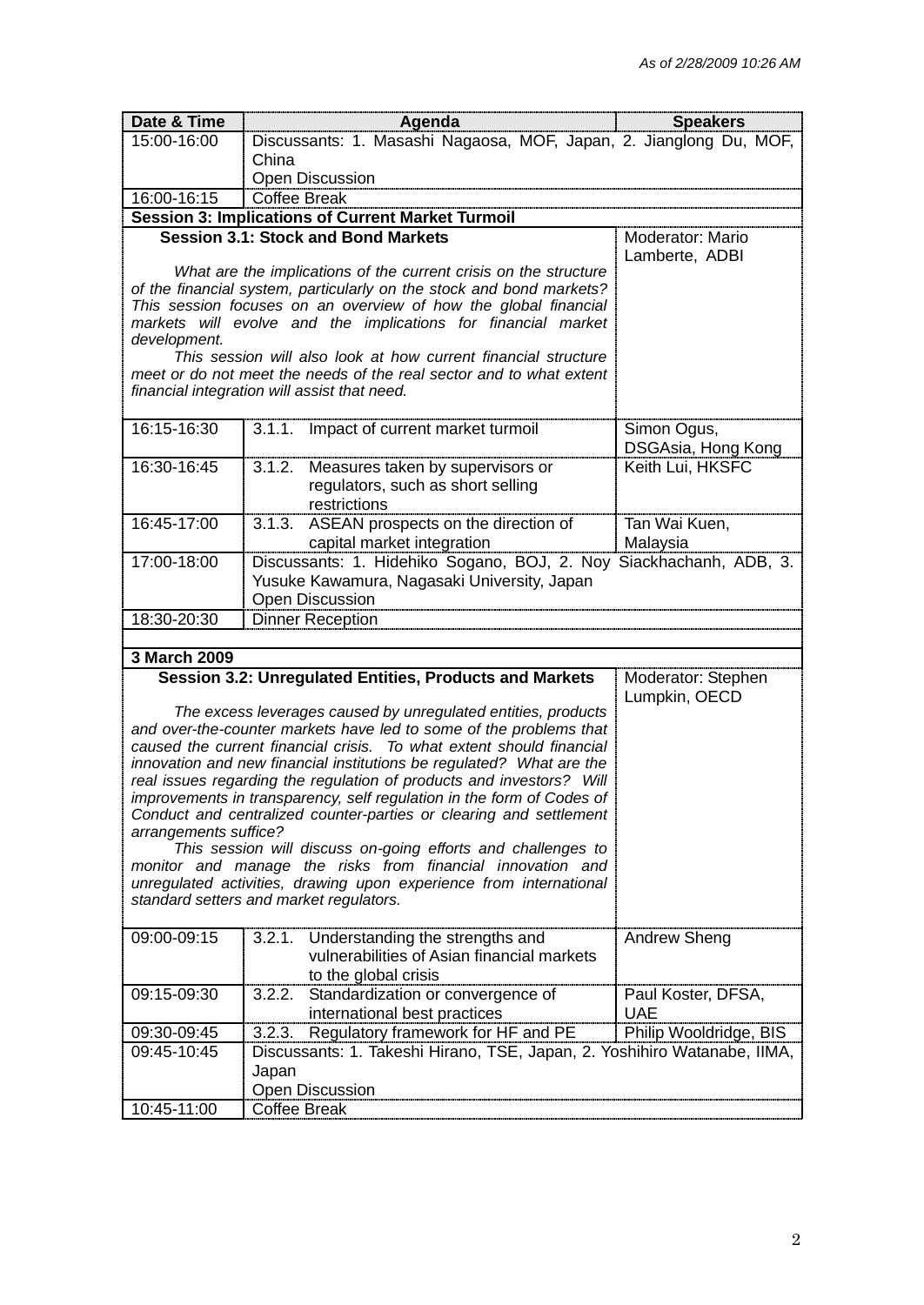| Date & Time           | Agenda                                                                                                                                | <b>Speakers</b>        |
|-----------------------|---------------------------------------------------------------------------------------------------------------------------------------|------------------------|
| 15:00-16:00           | Discussants: 1. Masashi Nagaosa, MOF, Japan, 2. Jianglong Du, MOF,                                                                    |                        |
|                       | China                                                                                                                                 |                        |
|                       | Open Discussion                                                                                                                       |                        |
| 16:00-16:15           | <b>Coffee Break</b>                                                                                                                   |                        |
|                       | <b>Session 3: Implications of Current Market Turmoil</b>                                                                              |                        |
|                       | <b>Session 3.1: Stock and Bond Markets</b>                                                                                            | Moderator: Mario       |
|                       | What are the implications of the current crisis on the structure                                                                      | Lamberte, ADBI         |
|                       | of the financial system, particularly on the stock and bond markets?                                                                  |                        |
|                       | This session focuses on an overview of how the global financial                                                                       |                        |
|                       | markets will evolve and the implications for financial market                                                                         |                        |
| development.          |                                                                                                                                       |                        |
|                       | This session will also look at how current financial structure<br>meet or do not meet the needs of the real sector and to what extent |                        |
|                       | financial integration will assist that need.                                                                                          |                        |
|                       |                                                                                                                                       |                        |
| 16:15-16:30           | Impact of current market turmoil<br>3.1.1.                                                                                            | Simon Ogus,            |
|                       |                                                                                                                                       | DSGAsia, Hong Kong     |
| 16:30-16:45           | 3.1.2. Measures taken by supervisors or                                                                                               | Keith Lui, HKSFC       |
|                       | regulators, such as short selling                                                                                                     |                        |
|                       | restrictions                                                                                                                          |                        |
| 16:45-17:00           | 3.1.3. ASEAN prospects on the direction of                                                                                            | Tan Wai Kuen,          |
| 17:00-18:00           | capital market integration<br>Discussants: 1. Hidehiko Sogano, BOJ, 2. Noy Siackhachanh, ADB, 3.                                      | Malaysia               |
|                       | Yusuke Kawamura, Nagasaki University, Japan                                                                                           |                        |
|                       | <b>Open Discussion</b>                                                                                                                |                        |
| 18:30-20:30           | <b>Dinner Reception</b>                                                                                                               |                        |
|                       |                                                                                                                                       |                        |
| 3 March 2009          |                                                                                                                                       |                        |
|                       | Session 3.2: Unregulated Entities, Products and Markets                                                                               | Moderator: Stephen     |
|                       |                                                                                                                                       | Lumpkin, OECD          |
|                       | The excess leverages caused by unregulated entities, products<br>and over-the-counter markets have led to some of the problems that   |                        |
|                       | caused the current financial crisis. To what extent should financial                                                                  |                        |
|                       | innovation and new financial institutions be regulated? What are the                                                                  |                        |
|                       | real issues regarding the regulation of products and investors? Will                                                                  |                        |
|                       | improvements in transparency, self regulation in the form of Codes of                                                                 |                        |
|                       | Conduct and centralized counter-parties or clearing and settlement                                                                    |                        |
| arrangements suffice? | This session will discuss on-going efforts and challenges to                                                                          |                        |
|                       | monitor and manage the risks from financial innovation and                                                                            |                        |
|                       | unregulated activities, drawing upon experience from international                                                                    |                        |
|                       | standard setters and market regulators.                                                                                               |                        |
|                       |                                                                                                                                       |                        |
| 09:00-09:15           | 3.2.1.<br>Understanding the strengths and<br>vulnerabilities of Asian financial markets                                               | Andrew Sheng           |
|                       | to the global crisis                                                                                                                  |                        |
| 09:15-09:30           | 3.2.2.<br>Standardization or convergence of                                                                                           | Paul Koster, DFSA,     |
|                       | international best practices                                                                                                          | UAE                    |
| 09:30-09:45           | Regulatory framework for HF and PE<br>3.2.3.                                                                                          | Philip Wooldridge, BIS |
| 09:45-10:45           | Discussants: 1. Takeshi Hirano, TSE, Japan, 2. Yoshihiro Watanabe, IIMA,                                                              |                        |
|                       | Japan                                                                                                                                 |                        |
|                       | <b>Open Discussion</b>                                                                                                                |                        |
| 10:45-11:00           | <b>Coffee Break</b>                                                                                                                   |                        |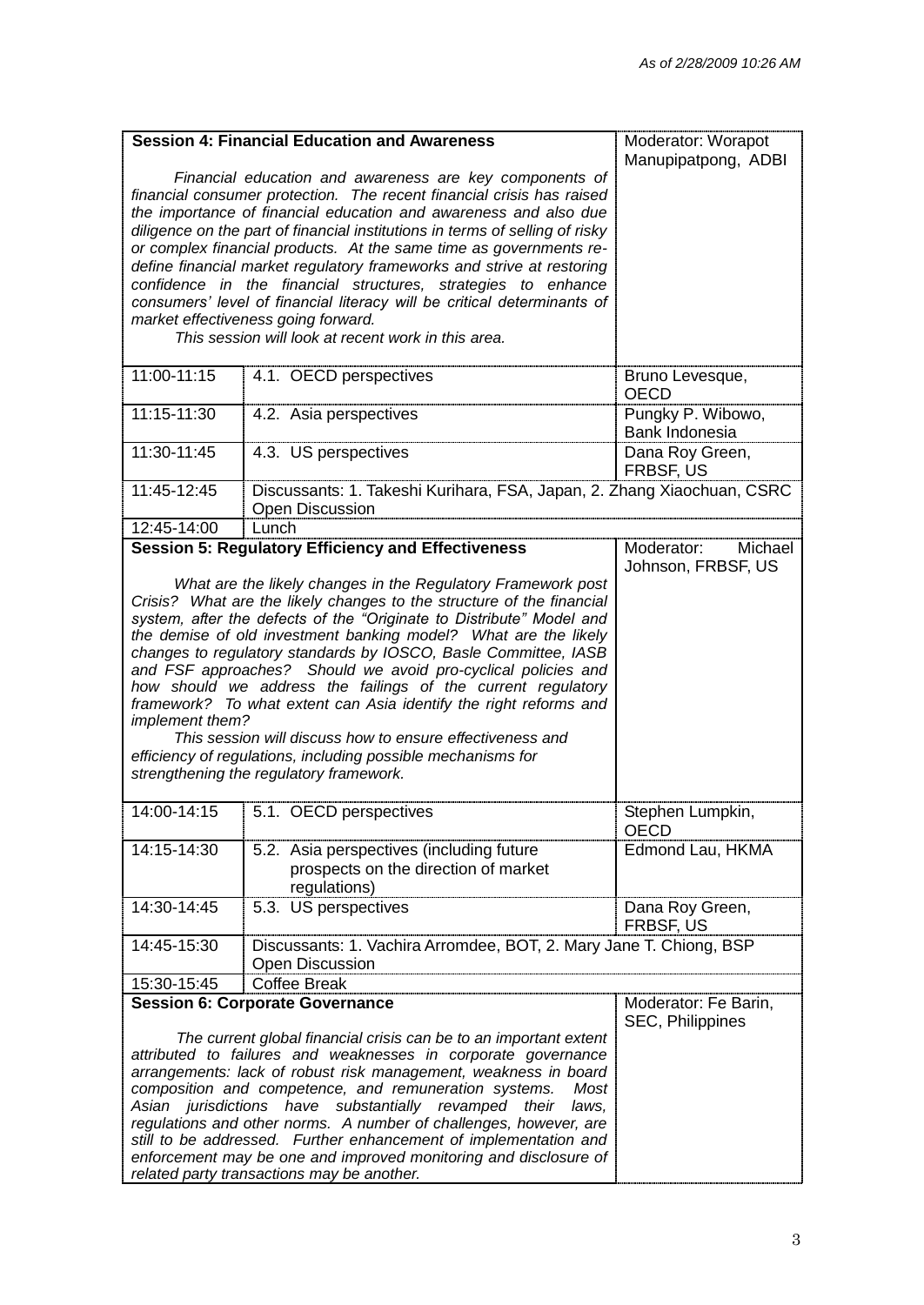|                                                                                                                                                                                                                                                                                                                                                                                                                                                                                                                                                                                                                                                                                                                                                      | <b>Session 4: Financial Education and Awareness</b><br>Financial education and awareness are key components of<br>financial consumer protection. The recent financial crisis has raised<br>the importance of financial education and awareness and also due<br>diligence on the part of financial institutions in terms of selling of risky<br>or complex financial products. At the same time as governments re-<br>define financial market regulatory frameworks and strive at restoring<br>confidence in the financial structures, strategies to enhance<br>consumers' level of financial literacy will be critical determinants of<br>market effectiveness going forward.<br>This session will look at recent work in this area. | Moderator: Worapot<br>Manupipatpong, ADBI   |
|------------------------------------------------------------------------------------------------------------------------------------------------------------------------------------------------------------------------------------------------------------------------------------------------------------------------------------------------------------------------------------------------------------------------------------------------------------------------------------------------------------------------------------------------------------------------------------------------------------------------------------------------------------------------------------------------------------------------------------------------------|--------------------------------------------------------------------------------------------------------------------------------------------------------------------------------------------------------------------------------------------------------------------------------------------------------------------------------------------------------------------------------------------------------------------------------------------------------------------------------------------------------------------------------------------------------------------------------------------------------------------------------------------------------------------------------------------------------------------------------------|---------------------------------------------|
| 11:00-11:15                                                                                                                                                                                                                                                                                                                                                                                                                                                                                                                                                                                                                                                                                                                                          | 4.1. OECD perspectives                                                                                                                                                                                                                                                                                                                                                                                                                                                                                                                                                                                                                                                                                                               | Bruno Levesque,<br><b>OECD</b>              |
| 11:15-11:30                                                                                                                                                                                                                                                                                                                                                                                                                                                                                                                                                                                                                                                                                                                                          | 4.2. Asia perspectives                                                                                                                                                                                                                                                                                                                                                                                                                                                                                                                                                                                                                                                                                                               | Pungky P. Wibowo,<br>Bank Indonesia         |
| 11:30-11:45                                                                                                                                                                                                                                                                                                                                                                                                                                                                                                                                                                                                                                                                                                                                          | 4.3. US perspectives                                                                                                                                                                                                                                                                                                                                                                                                                                                                                                                                                                                                                                                                                                                 | Dana Roy Green,<br><b>FRBSF. US</b>         |
| 11:45-12:45                                                                                                                                                                                                                                                                                                                                                                                                                                                                                                                                                                                                                                                                                                                                          | Discussants: 1. Takeshi Kurihara, FSA, Japan, 2. Zhang Xiaochuan, CSRC<br><b>Open Discussion</b>                                                                                                                                                                                                                                                                                                                                                                                                                                                                                                                                                                                                                                     |                                             |
| 12:45-14:00                                                                                                                                                                                                                                                                                                                                                                                                                                                                                                                                                                                                                                                                                                                                          | Lunch                                                                                                                                                                                                                                                                                                                                                                                                                                                                                                                                                                                                                                                                                                                                |                                             |
|                                                                                                                                                                                                                                                                                                                                                                                                                                                                                                                                                                                                                                                                                                                                                      | <b>Session 5: Regulatory Efficiency and Effectiveness</b>                                                                                                                                                                                                                                                                                                                                                                                                                                                                                                                                                                                                                                                                            | Moderator:<br>Michael<br>Johnson, FRBSF, US |
| What are the likely changes in the Regulatory Framework post<br>Crisis? What are the likely changes to the structure of the financial<br>system, after the defects of the "Originate to Distribute" Model and<br>the demise of old investment banking model? What are the likely<br>changes to regulatory standards by IOSCO, Basle Committee, IASB<br>and FSF approaches? Should we avoid pro-cyclical policies and<br>how should we address the failings of the current regulatory<br>framework? To what extent can Asia identify the right reforms and<br>implement them?<br>This session will discuss how to ensure effectiveness and<br>efficiency of regulations, including possible mechanisms for<br>strengthening the regulatory framework. |                                                                                                                                                                                                                                                                                                                                                                                                                                                                                                                                                                                                                                                                                                                                      |                                             |
| 14:00-14:15                                                                                                                                                                                                                                                                                                                                                                                                                                                                                                                                                                                                                                                                                                                                          | 5.1. OECD perspectives                                                                                                                                                                                                                                                                                                                                                                                                                                                                                                                                                                                                                                                                                                               | Stephen Lumpkin,<br><b>OECD</b>             |
| 14:15-14:30                                                                                                                                                                                                                                                                                                                                                                                                                                                                                                                                                                                                                                                                                                                                          | 5.2. Asia perspectives (including future<br>prospects on the direction of market<br>regulations)                                                                                                                                                                                                                                                                                                                                                                                                                                                                                                                                                                                                                                     | Edmond Lau, HKMA                            |
| 14:30-14:45                                                                                                                                                                                                                                                                                                                                                                                                                                                                                                                                                                                                                                                                                                                                          | 5.3. US perspectives                                                                                                                                                                                                                                                                                                                                                                                                                                                                                                                                                                                                                                                                                                                 | Dana Roy Green,<br><b>FRBSF, US</b>         |
| 14:45-15:30                                                                                                                                                                                                                                                                                                                                                                                                                                                                                                                                                                                                                                                                                                                                          | Discussants: 1. Vachira Arromdee, BOT, 2. Mary Jane T. Chiong, BSP<br>Open Discussion                                                                                                                                                                                                                                                                                                                                                                                                                                                                                                                                                                                                                                                |                                             |
| 15:30-15:45                                                                                                                                                                                                                                                                                                                                                                                                                                                                                                                                                                                                                                                                                                                                          | <b>Coffee Break</b>                                                                                                                                                                                                                                                                                                                                                                                                                                                                                                                                                                                                                                                                                                                  |                                             |
| <b>Session 6: Corporate Governance</b><br>The current global financial crisis can be to an important extent<br>attributed to failures and weaknesses in corporate governance<br>arrangements: lack of robust risk management, weakness in board<br>composition and competence, and remuneration systems.<br>Most<br>Asian jurisdictions have substantially revamped their<br>laws,<br>regulations and other norms. A number of challenges, however, are<br>still to be addressed. Further enhancement of implementation and<br>enforcement may be one and improved monitoring and disclosure of<br>related party transactions may be another.                                                                                                        |                                                                                                                                                                                                                                                                                                                                                                                                                                                                                                                                                                                                                                                                                                                                      | Moderator: Fe Barin,<br>SEC, Philippines    |